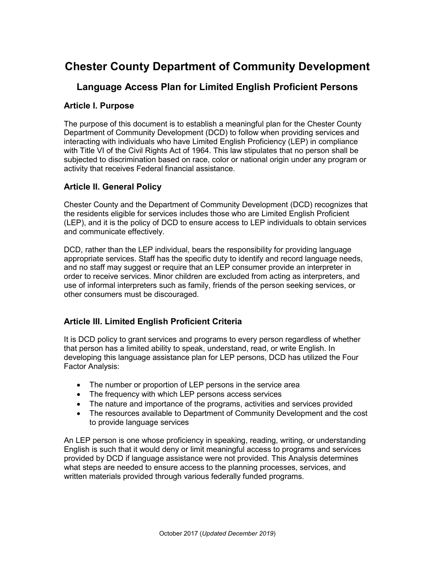# **Chester County Department of Community Development**

## **Language Access Plan for Limited English Proficient Persons**

#### **Article I. Purpose**

The purpose of this document is to establish a meaningful plan for the Chester County Department of Community Development (DCD) to follow when providing services and interacting with individuals who have Limited English Proficiency (LEP) in compliance with Title VI of the Civil Rights Act of 1964. This law stipulates that no person shall be subjected to discrimination based on race, color or national origin under any program or activity that receives Federal financial assistance.

### **Article II. General Policy**

Chester County and the Department of Community Development (DCD) recognizes that the residents eligible for services includes those who are Limited English Proficient (LEP), and it is the policy of DCD to ensure access to LEP individuals to obtain services and communicate effectively.

DCD, rather than the LEP individual, bears the responsibility for providing language appropriate services. Staff has the specific duty to identify and record language needs, and no staff may suggest or require that an LEP consumer provide an interpreter in order to receive services. Minor children are excluded from acting as interpreters, and use of informal interpreters such as family, friends of the person seeking services, or other consumers must be discouraged.

### **Article III. Limited English Proficient Criteria**

It is DCD policy to grant services and programs to every person regardless of whether that person has a limited ability to speak, understand, read, or write English. In developing this language assistance plan for LEP persons, DCD has utilized the Four Factor Analysis:

- The number or proportion of LEP persons in the service area
- The frequency with which LEP persons access services
- The nature and importance of the programs, activities and services provided
- The resources available to Department of Community Development and the cost to provide language services

An LEP person is one whose proficiency in speaking, reading, writing, or understanding English is such that it would deny or limit meaningful access to programs and services provided by DCD if language assistance were not provided. This Analysis determines what steps are needed to ensure access to the planning processes, services, and written materials provided through various federally funded programs.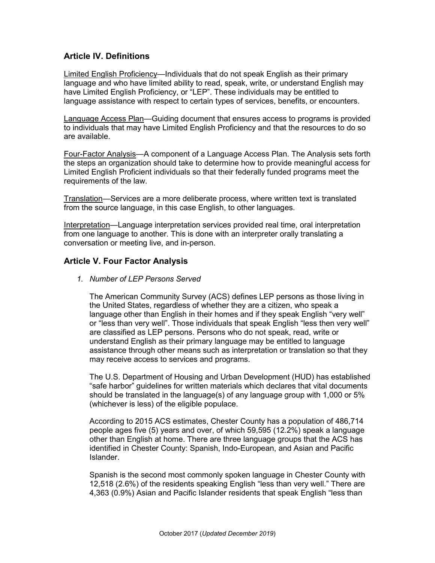### **Article IV. Definitions**

Limited English Proficiency—Individuals that do not speak English as their primary language and who have limited ability to read, speak, write, or understand English may have Limited English Proficiency, or "LEP". These individuals may be entitled to language assistance with respect to certain types of services, benefits, or encounters.

Language Access Plan—Guiding document that ensures access to programs is provided to individuals that may have Limited English Proficiency and that the resources to do so are available.

Four-Factor Analysis—A component of a Language Access Plan. The Analysis sets forth the steps an organization should take to determine how to provide meaningful access for Limited English Proficient individuals so that their federally funded programs meet the requirements of the law.

Translation—Services are a more deliberate process, where written text is translated from the source language, in this case English, to other languages.

Interpretation—Language interpretation services provided real time, oral interpretation from one language to another. This is done with an interpreter orally translating a conversation or meeting live, and in-person.

#### **Article V. Four Factor Analysis**

*1. Number of LEP Persons Served*

The American Community Survey (ACS) defines LEP persons as those living in the United States, regardless of whether they are a citizen, who speak a language other than English in their homes and if they speak English "very well" or "less than very well". Those individuals that speak English "less then very well" are classified as LEP persons. Persons who do not speak, read, write or understand English as their primary language may be entitled to language assistance through other means such as interpretation or translation so that they may receive access to services and programs.

The U.S. Department of Housing and Urban Development (HUD) has established "safe harbor" guidelines for written materials which declares that vital documents should be translated in the language(s) of any language group with 1,000 or 5% (whichever is less) of the eligible populace.

According to 2015 ACS estimates, Chester County has a population of 486,714 people ages five (5) years and over, of which 59,595 (12.2%) speak a language other than English at home. There are three language groups that the ACS has identified in Chester County: Spanish, Indo-European, and Asian and Pacific Islander.

Spanish is the second most commonly spoken language in Chester County with 12,518 (2.6%) of the residents speaking English "less than very well." There are 4,363 (0.9%) Asian and Pacific Islander residents that speak English "less than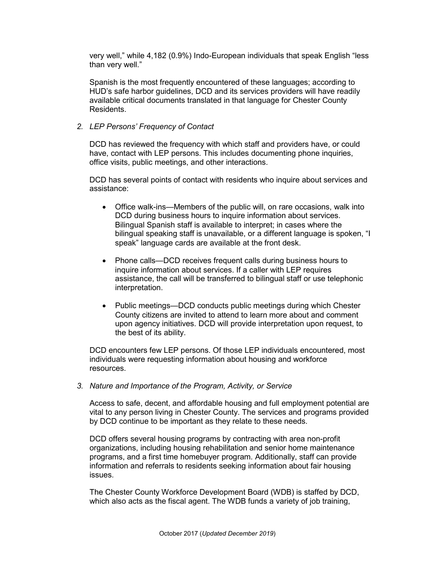very well," while 4,182 (0.9%) Indo-European individuals that speak English "less than very well."

Spanish is the most frequently encountered of these languages; according to HUD's safe harbor guidelines, DCD and its services providers will have readily available critical documents translated in that language for Chester County Residents.

#### *2. LEP Persons' Frequency of Contact*

DCD has reviewed the frequency with which staff and providers have, or could have, contact with LEP persons. This includes documenting phone inquiries, office visits, public meetings, and other interactions.

DCD has several points of contact with residents who inquire about services and assistance:

- Office walk-ins—Members of the public will, on rare occasions, walk into DCD during business hours to inquire information about services. Bilingual Spanish staff is available to interpret; in cases where the bilingual speaking staff is unavailable, or a different language is spoken, "I speak" language cards are available at the front desk.
- Phone calls—DCD receives frequent calls during business hours to inquire information about services. If a caller with LEP requires assistance, the call will be transferred to bilingual staff or use telephonic interpretation.
- Public meetings—DCD conducts public meetings during which Chester County citizens are invited to attend to learn more about and comment upon agency initiatives. DCD will provide interpretation upon request, to the best of its ability.

DCD encounters few LEP persons. Of those LEP individuals encountered, most individuals were requesting information about housing and workforce resources.

*3. Nature and Importance of the Program, Activity, or Service*

Access to safe, decent, and affordable housing and full employment potential are vital to any person living in Chester County. The services and programs provided by DCD continue to be important as they relate to these needs.

DCD offers several housing programs by contracting with area non-profit organizations, including housing rehabilitation and senior home maintenance programs, and a first time homebuyer program. Additionally, staff can provide information and referrals to residents seeking information about fair housing issues.

The Chester County Workforce Development Board (WDB) is staffed by DCD, which also acts as the fiscal agent. The WDB funds a variety of job training,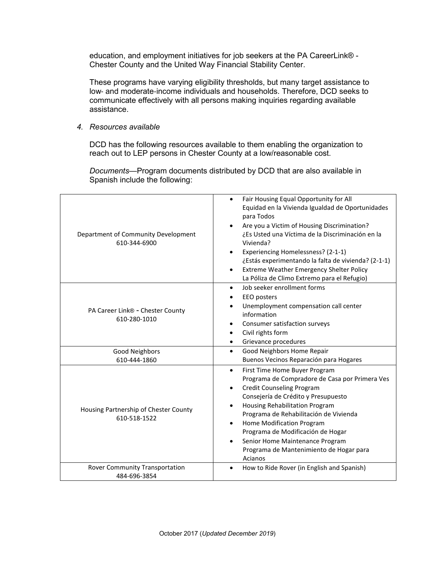education, and employment initiatives for job seekers at the PA CareerLink® - Chester County and the United Way Financial Stability Center.

These programs have varying eligibility thresholds, but many target assistance to low‐ and moderate‐income individuals and households. Therefore, DCD seeks to communicate effectively with all persons making inquiries regarding available assistance.

*4. Resources available*

DCD has the following resources available to them enabling the organization to reach out to LEP persons in Chester County at a low/reasonable cost.

*Documents*—Program documents distributed by DCD that are also available in Spanish include the following:

| Department of Community Development<br>610-344-6900   | Fair Housing Equal Opportunity for All<br>$\bullet$<br>Equidad en la Vivienda Igualdad de Oportunidades<br>para Todos<br>Are you a Victim of Housing Discrimination?<br>¿Es Usted una Víctima de la Discriminación en la<br>Vivienda?<br>Experiencing Homelessness? (2-1-1)<br>¿Estás experimentando la falta de vivienda? (2-1-1)<br>Extreme Weather Emergency Shelter Policy<br>La Póliza de Climo Extremo para el Refugio) |
|-------------------------------------------------------|-------------------------------------------------------------------------------------------------------------------------------------------------------------------------------------------------------------------------------------------------------------------------------------------------------------------------------------------------------------------------------------------------------------------------------|
| PA Career Link® - Chester County<br>610-280-1010      | Job seeker enrollment forms<br>$\bullet$<br>EEO posters<br>Unemployment compensation call center<br>information<br>Consumer satisfaction surveys<br>Civil rights form<br>$\bullet$<br>Grievance procedures                                                                                                                                                                                                                    |
| Good Neighbors                                        | Good Neighbors Home Repair<br>$\bullet$                                                                                                                                                                                                                                                                                                                                                                                       |
| 610-444-1860                                          | Buenos Vecinos Reparación para Hogares                                                                                                                                                                                                                                                                                                                                                                                        |
| Housing Partnership of Chester County<br>610-518-1522 | First Time Home Buyer Program<br>$\bullet$<br>Programa de Compradore de Casa por Primera Ves<br><b>Credit Counseling Program</b><br>Consejería de Crédito y Presupuesto<br>Housing Rehabilitation Program<br>$\bullet$<br>Programa de Rehabilitación de Vivienda<br>Home Modification Program<br>Programa de Modificación de Hogar<br>Senior Home Maintenance Program<br>Programa de Mantenimiento de Hogar para<br>Acianos   |
| Rover Community Transportation<br>484-696-3854        | How to Ride Rover (in English and Spanish)<br>$\bullet$                                                                                                                                                                                                                                                                                                                                                                       |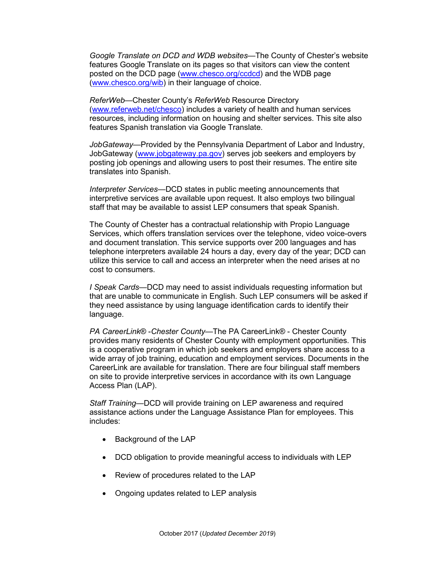*Google Translate on DCD and WDB websites*—The County of Chester's website features Google Translate on its pages so that visitors can view the content posted on the DCD page [\(www.chesco.org/ccdcd\)](http://www.chesco.org/ccdcd) and the WDB page [\(www.chesco.org/wib\)](http://www.chesco.org/wib) in their language of choice.

*ReferWeb*—Chester County's *ReferWeb* Resource Directory [\(www.referweb.net/chesco\)](http://www.referweb.net/chesco/) includes a variety of health and human services resources, including information on housing and shelter services. This site also features Spanish translation via Google Translate.

*JobGateway*—Provided by the Pennsylvania Department of Labor and Industry, JobGateway [\(www.jobgateway.pa.gov\)](http://www.jobgateway.pa.gov/) serves job seekers and employers by posting job openings and allowing users to post their resumes. The entire site translates into Spanish.

*Interpreter Services*—DCD states in public meeting announcements that interpretive services are available upon request. It also employs two bilingual staff that may be available to assist LEP consumers that speak Spanish.

The County of Chester has a contractual relationship with Propio Language Services, which offers translation services over the telephone, video voice-overs and document translation. This service supports over 200 languages and has telephone interpreters available 24 hours a day, every day of the year; DCD can utilize this service to call and access an interpreter when the need arises at no cost to consumers.

*I Speak Cards*—DCD may need to assist individuals requesting information but that are unable to communicate in English. Such LEP consumers will be asked if they need assistance by using language identification cards to identify their language.

*PA CareerLink*® -*Chester County*—The PA CareerLink® - Chester County provides many residents of Chester County with employment opportunities. This is a cooperative program in which job seekers and employers share access to a wide array of job training, education and employment services. Documents in the CareerLink are available for translation. There are four bilingual staff members on site to provide interpretive services in accordance with its own Language Access Plan (LAP).

*Staff Training*—DCD will provide training on LEP awareness and required assistance actions under the Language Assistance Plan for employees. This includes:

- Background of the LAP
- DCD obligation to provide meaningful access to individuals with LEP
- Review of procedures related to the LAP
- Ongoing updates related to LEP analysis